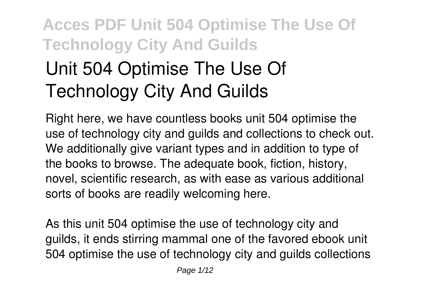# **Acces PDF Unit 504 Optimise The Use Of Technology City And Guilds Unit 504 Optimise The Use Of Technology City And Guilds**

Right here, we have countless books **unit 504 optimise the use of technology city and guilds** and collections to check out. We additionally give variant types and in addition to type of the books to browse. The adequate book, fiction, history, novel, scientific research, as with ease as various additional sorts of books are readily welcoming here.

As this unit 504 optimise the use of technology city and guilds, it ends stirring mammal one of the favored ebook unit 504 optimise the use of technology city and guilds collections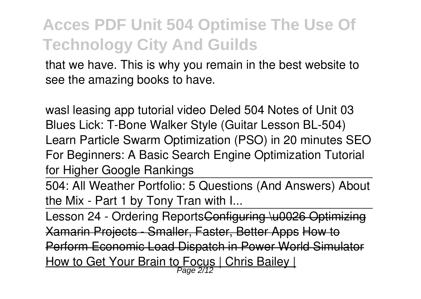that we have. This is why you remain in the best website to see the amazing books to have.

*wasl leasing app tutorial video Deled 504 Notes of Unit 03* **Blues Lick: T-Bone Walker Style (Guitar Lesson BL-504)** Learn Particle Swarm Optimization (PSO) in 20 minutes **SEO For Beginners: A Basic Search Engine Optimization Tutorial for Higher Google Rankings**

504: All Weather Portfolio: 5 Questions (And Answers) About the Mix - Part 1 by Tony Tran with I...

Lesson 24 - Ordering Reports<del>Configuring \u0026 Optimizing</del> Xamarin Projects - Smaller, Faster, Better Apps How Perform Economic Load Dispatch in Power World Simulator How to Get Your Brain to Focus | Chris Bailey | Page 2/12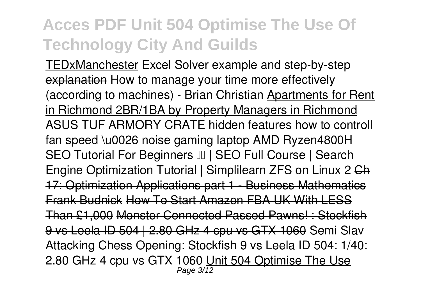TEDxManchester Excel Solver example and step-by-step explanation *How to manage your time more effectively (according to machines) - Brian Christian* Apartments for Rent in Richmond 2BR/1BA by Property Managers in Richmond *ASUS TUF ARMORY CRATE hidden features how to controll fan speed \u0026 noise gaming laptop AMD Ryzen4800H SEO Tutorial For Beginners | SEO Full Course | Search Engine Optimization Tutorial | Simplilearn* **ZFS on Linux 2** Ch 17: Optimization Applications part 1 - Business Mathematics Frank Budnick How To Start Amazon FBA UK With LESS Than £1,000 Monster Connected Passed Pawns! : Stockfish 9 vs Leela ID 504 | 2.80 GHz 4 cpu vs GTX 1060 **Semi Slav Attacking Chess Opening: Stockfish 9 vs Leela ID 504: 1/40: 2.80 GHz 4 cpu vs GTX 1060** Unit 504 Optimise The Use Page 3/12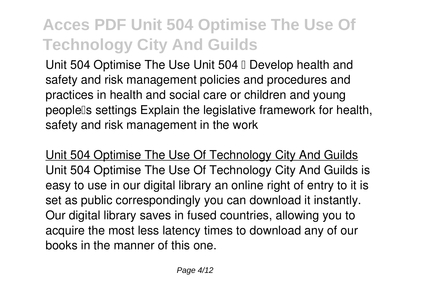Unit 504 Optimise The Use Unit 504 | Develop health and safety and risk management policies and procedures and practices in health and social care or children and young people<sup>'</sup>s settings Explain the legislative framework for health, safety and risk management in the work

Unit 504 Optimise The Use Of Technology City And Guilds Unit 504 Optimise The Use Of Technology City And Guilds is easy to use in our digital library an online right of entry to it is set as public correspondingly you can download it instantly. Our digital library saves in fused countries, allowing you to acquire the most less latency times to download any of our books in the manner of this one.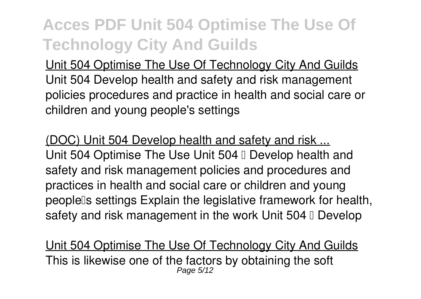Unit 504 Optimise The Use Of Technology City And Guilds Unit 504 Develop health and safety and risk management policies procedures and practice in health and social care or children and young people's settings

(DOC) Unit 504 Develop health and safety and risk ... Unit 504 Optimise The Use Unit 504 <sup>D</sup> Develop health and safety and risk management policies and procedures and practices in health and social care or children and young people<sup>'s</sup> settings Explain the legislative framework for health, safety and risk management in the work Unit 504 I Develop

Unit 504 Optimise The Use Of Technology City And Guilds This is likewise one of the factors by obtaining the soft Page 5/12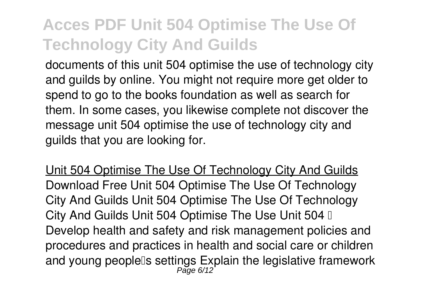documents of this unit 504 optimise the use of technology city and guilds by online. You might not require more get older to spend to go to the books foundation as well as search for them. In some cases, you likewise complete not discover the message unit 504 optimise the use of technology city and guilds that you are looking for.

Unit 504 Optimise The Use Of Technology City And Guilds Download Free Unit 504 Optimise The Use Of Technology City And Guilds Unit 504 Optimise The Use Of Technology City And Guilds Unit 504 Optimise The Use Unit 504 I Develop health and safety and risk management policies and procedures and practices in health and social care or children and young people‼s settings Explain the legislative framework<br>Page 6/12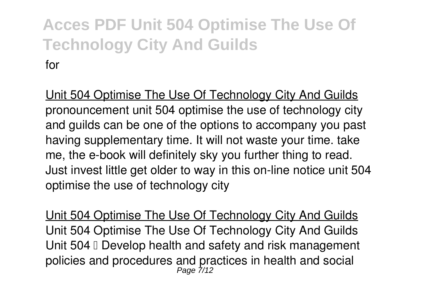Unit 504 Optimise The Use Of Technology City And Guilds pronouncement unit 504 optimise the use of technology city and guilds can be one of the options to accompany you past having supplementary time. It will not waste your time. take me, the e-book will definitely sky you further thing to read. Just invest little get older to way in this on-line notice unit 504 optimise the use of technology city

Unit 504 Optimise The Use Of Technology City And Guilds Unit 504 Optimise The Use Of Technology City And Guilds Unit 504 l Develop health and safety and risk management policies and procedures and practices in health and social Page 7/12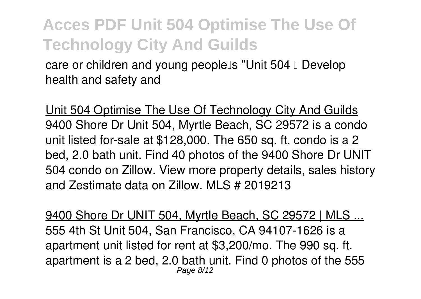care or children and young people<sup>[1]</sup> "Unit 504 <sup>[1]</sup> Develop health and safety and

Unit 504 Optimise The Use Of Technology City And Guilds 9400 Shore Dr Unit 504, Myrtle Beach, SC 29572 is a condo unit listed for-sale at \$128,000. The 650 sq. ft. condo is a 2 bed, 2.0 bath unit. Find 40 photos of the 9400 Shore Dr UNIT 504 condo on Zillow. View more property details, sales history and Zestimate data on Zillow. MLS # 2019213

9400 Shore Dr UNIT 504, Myrtle Beach, SC 29572 | MLS ... 555 4th St Unit 504, San Francisco, CA 94107-1626 is a apartment unit listed for rent at \$3,200/mo. The 990 sq. ft. apartment is a 2 bed, 2.0 bath unit. Find 0 photos of the 555 Page 8/12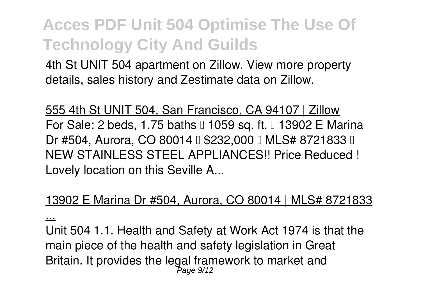4th St UNIT 504 apartment on Zillow. View more property details, sales history and Zestimate data on Zillow.

555 4th St UNIT 504, San Francisco, CA 94107 | Zillow For Sale: 2 beds, 1.75 baths □ 1059 sq. ft. □ 13902 E Marina Dr #504, Aurora, CO 80014 □ \$232,000 □ MLS# 8721833 □ NEW STAINLESS STEEL APPLIANCES!! Price Reduced ! Lovely location on this Seville A...

#### 13902 E Marina Dr #504, Aurora, CO 80014 | MLS# 8721833

...

Unit 504 1.1. Health and Safety at Work Act 1974 is that the main piece of the health and safety legislation in Great Britain. It provides the legal framework to market and Page 9/12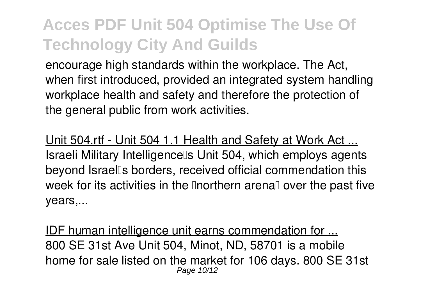encourage high standards within the workplace. The Act, when first introduced, provided an integrated system handling workplace health and safety and therefore the protection of the general public from work activities.

Unit 504.rtf - Unit 504 1.1 Health and Safety at Work Act ... Israeli Military Intelligence's Unit 504, which employs agents beyond Israells borders, received official commendation this week for its activities in the **Inorthern** arenal over the past five years,...

IDF human intelligence unit earns commendation for ... 800 SE 31st Ave Unit 504, Minot, ND, 58701 is a mobile home for sale listed on the market for 106 days. 800 SE 31st Page 10/12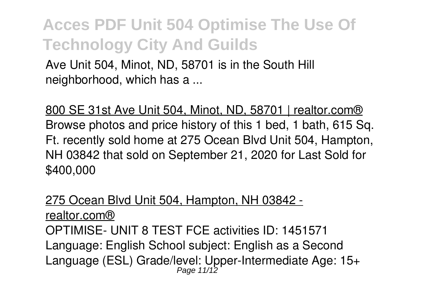Ave Unit 504, Minot, ND, 58701 is in the South Hill neighborhood, which has a ...

800 SE 31st Ave Unit 504, Minot, ND, 58701 | realtor.com® Browse photos and price history of this 1 bed, 1 bath, 615 Sq. Ft. recently sold home at 275 Ocean Blvd Unit 504, Hampton, NH 03842 that sold on September 21, 2020 for Last Sold for \$400,000

275 Ocean Blvd Unit 504, Hampton, NH 03842 realtor.com® OPTIMISE- UNIT 8 TEST FCE activities ID: 1451571 Language: English School subject: English as a Second Language (ESL) Grade/level: Upper-Intermediate Age: 15+ Page 11/12